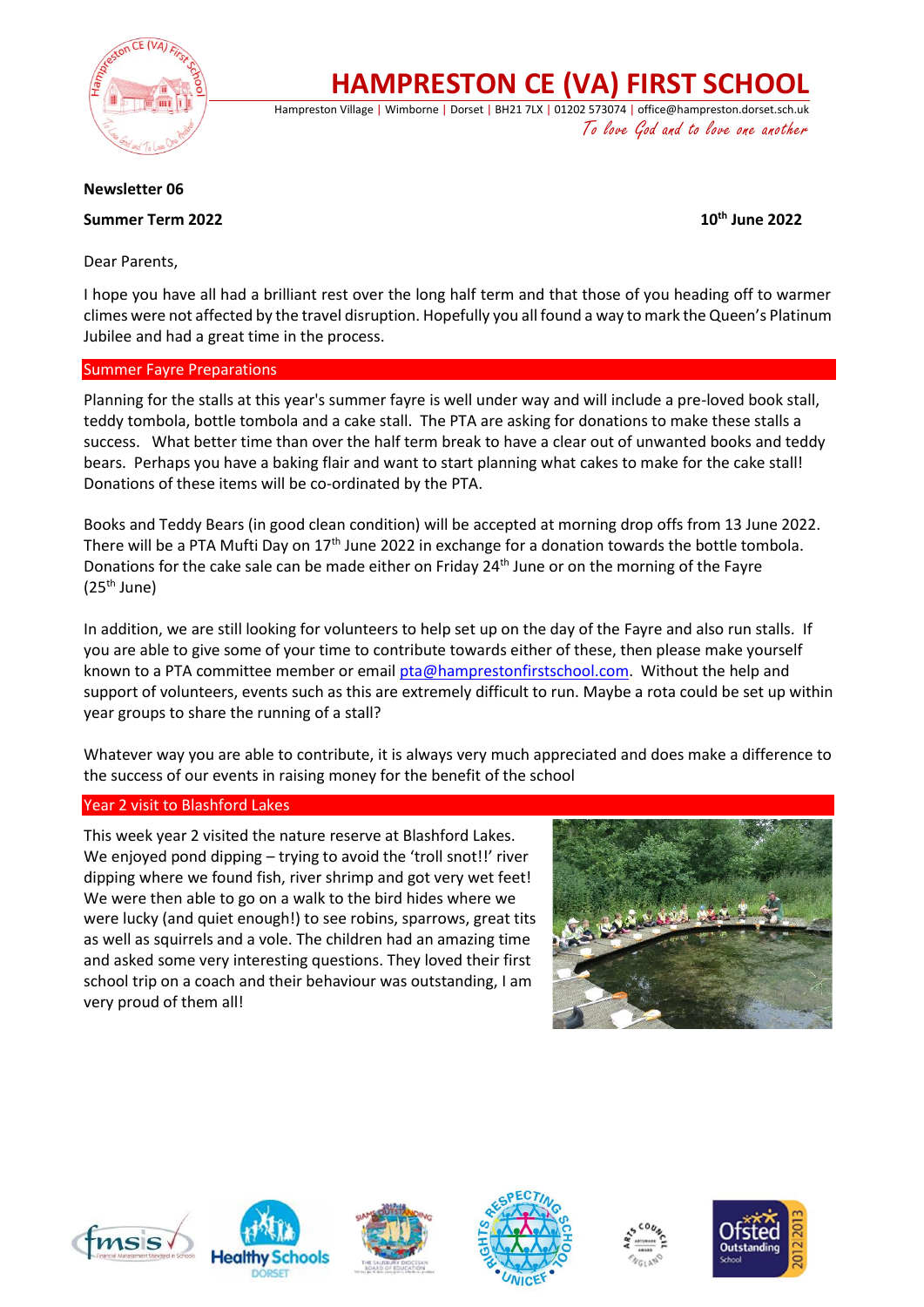

**HAMPRESTON CE (VA) FIRST SCHOOL**

Hampreston Village | Wimborne | Dorset | BH21 7LX | 01202 573074 | office@hampreston.dorset.sch.uk To love God and to love one another

### **Newsletter 06**

# **Summer Term 2022 10th June 2022**

Dear Parents,

I hope you have all had a brilliant rest over the long half term and that those of you heading off to warmer climes were not affected by the travel disruption. Hopefully you all found a way to mark the Queen's Platinum Jubilee and had a great time in the process.

## Summer Fayre Preparations

Planning for the stalls at this year's summer fayre is well under way and will include a pre-loved book stall, teddy tombola, bottle tombola and a cake stall. The PTA are asking for donations to make these stalls a success. What better time than over the half term break to have a clear out of unwanted books and teddy bears. Perhaps you have a baking flair and want to start planning what cakes to make for the cake stall! Donations of these items will be co-ordinated by the PTA.

Books and Teddy Bears (in good clean condition) will be accepted at morning drop offs from 13 June 2022. There will be a PTA Mufti Day on  $17<sup>th</sup>$  June 2022 in exchange for a donation towards the bottle tombola. Donations for the cake sale can be made either on Friday 24<sup>th</sup> June or on the morning of the Fayre  $(25<sup>th</sup>$  June)

In addition, we are still looking for volunteers to help set up on the day of the Fayre and also run stalls. If you are able to give some of your time to contribute towards either of these, then please make yourself known to a PTA committee member or emai[l pta@hamprestonfirstschool.com.](mailto:pta@hamprestonfirstschool.com) Without the help and support of volunteers, events such as this are extremely difficult to run. Maybe a rota could be set up within year groups to share the running of a stall?

Whatever way you are able to contribute, it is always very much appreciated and does make a difference to the success of our events in raising money for the benefit of the school

### Year 2 visit to Blashford Lakes

This week year 2 visited the nature reserve at Blashford Lakes. We enjoyed pond dipping – trying to avoid the 'troll snot!!' river dipping where we found fish, river shrimp and got very wet feet! We were then able to go on a walk to the bird hides where we were lucky (and quiet enough!) to see robins, sparrows, great tits as well as squirrels and a vole. The children had an amazing time and asked some very interesting questions. They loved their first school trip on a coach and their behaviour was outstanding, I am very proud of them all!













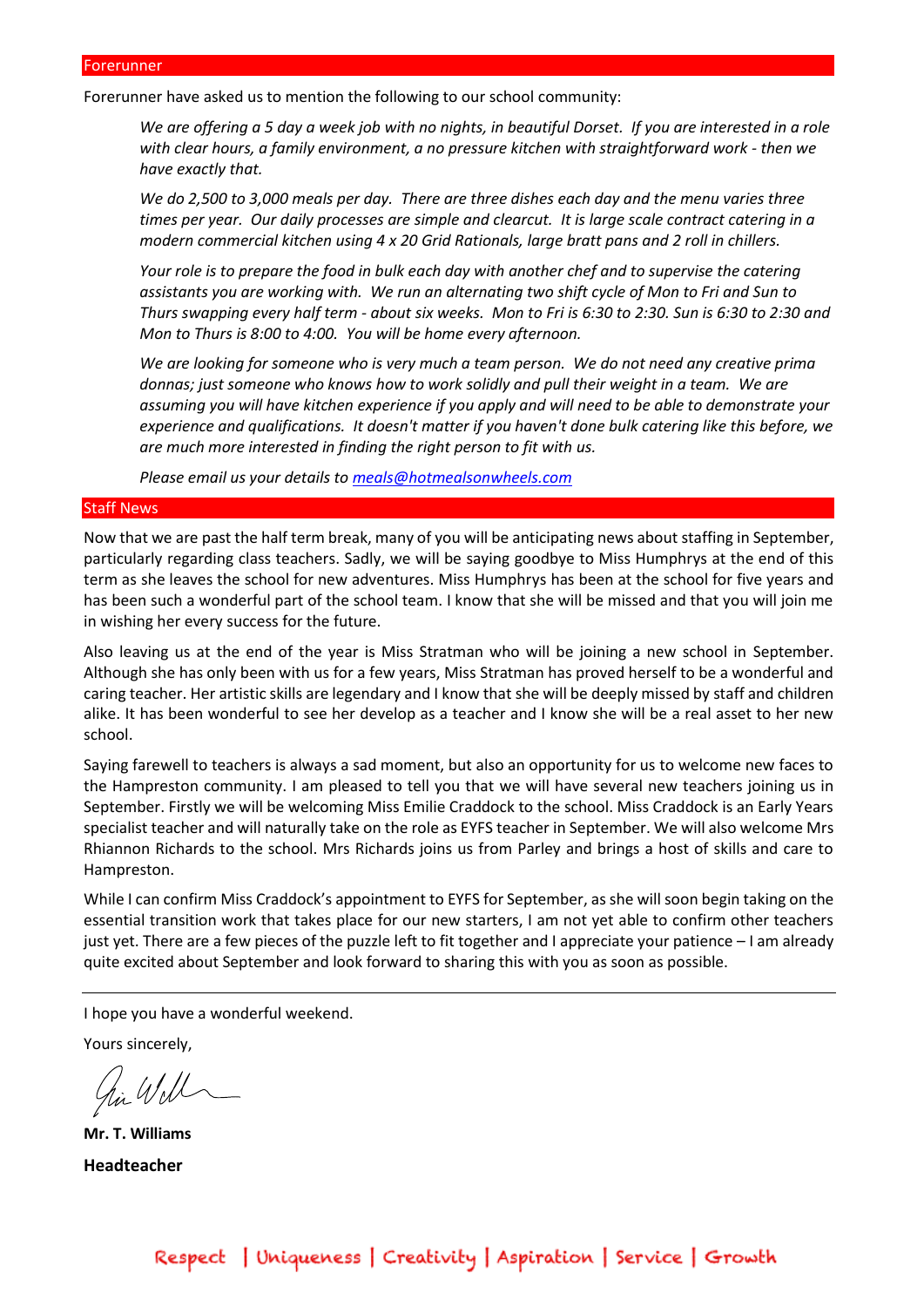#### Forerunner

Forerunner have asked us to mention the following to our school community:

*We are offering a 5 day a week job with no nights, in beautiful Dorset. If you are interested in a role with clear hours, a family environment, a no pressure kitchen with straightforward work - then we have exactly that.* 

*We do 2,500 to 3,000 meals per day. There are three dishes each day and the menu varies three times per year. Our daily processes are simple and clearcut. It is large scale contract catering in a modern commercial kitchen using 4 x 20 Grid Rationals, large bratt pans and 2 roll in chillers.* 

*Your role is to prepare the food in bulk each day with another chef and to supervise the catering assistants you are working with. We run an alternating two shift cycle of Mon to Fri and Sun to Thurs swapping every half term - about six weeks. Mon to Fri is 6:30 to 2:30. Sun is 6:30 to 2:30 and Mon to Thurs is 8:00 to 4:00. You will be home every afternoon.*

*We are looking for someone who is very much a team person. We do not need any creative prima donnas; just someone who knows how to work solidly and pull their weight in a team. We are assuming you will have kitchen experience if you apply and will need to be able to demonstrate your experience and qualifications. It doesn't matter if you haven't done bulk catering like this before, we are much more interested in finding the right person to fit with us.*

*Please email us your details to [meals@hotmealsonwheels.com](mailto:meals@hotmealsonwheels.com)*

#### Staff News

Now that we are past the half term break, many of you will be anticipating news about staffing in September, particularly regarding class teachers. Sadly, we will be saying goodbye to Miss Humphrys at the end of this term as she leaves the school for new adventures. Miss Humphrys has been at the school for five years and has been such a wonderful part of the school team. I know that she will be missed and that you will join me in wishing her every success for the future.

Also leaving us at the end of the year is Miss Stratman who will be joining a new school in September. Although she has only been with us for a few years, Miss Stratman has proved herself to be a wonderful and caring teacher. Her artistic skills are legendary and I know that she will be deeply missed by staff and children alike. It has been wonderful to see her develop as a teacher and I know she will be a real asset to her new school.

Saying farewell to teachers is always a sad moment, but also an opportunity for us to welcome new faces to the Hampreston community. I am pleased to tell you that we will have several new teachers joining us in September. Firstly we will be welcoming Miss Emilie Craddock to the school. Miss Craddock is an Early Years specialist teacher and will naturally take on the role as EYFS teacher in September. We will also welcome Mrs Rhiannon Richards to the school. Mrs Richards joins us from Parley and brings a host of skills and care to Hampreston.

While I can confirm Miss Craddock's appointment to EYFS for September, as she will soon begin taking on the essential transition work that takes place for our new starters, I am not yet able to confirm other teachers just yet. There are a few pieces of the puzzle left to fit together and I appreciate your patience – I am already quite excited about September and look forward to sharing this with you as soon as possible.

I hope you have a wonderful weekend.

Yours sincerely,

in Will

**Mr. T. Williams Headteacher**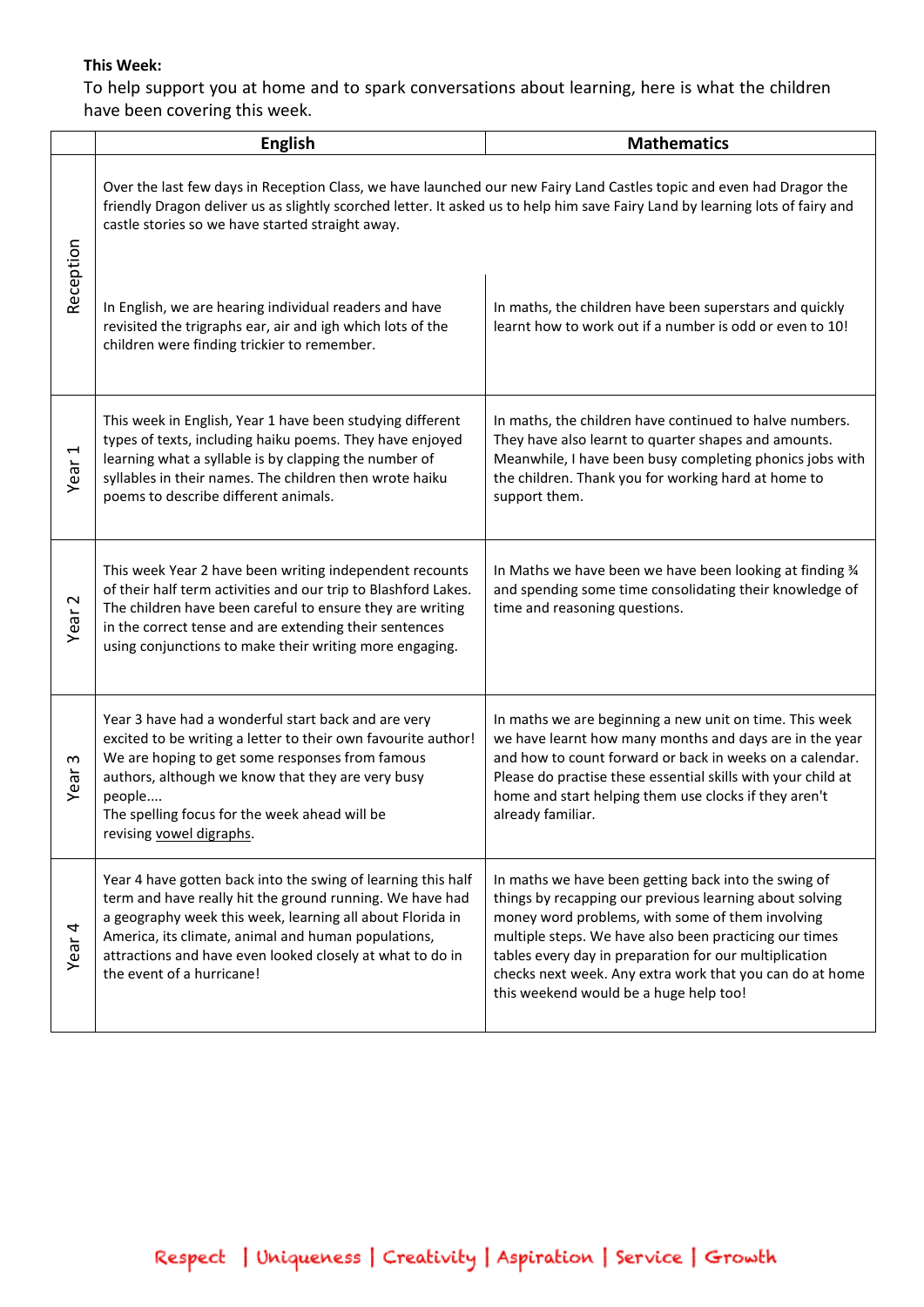# **This Week:**

To help support you at home and to spark conversations about learning, here is what the children have been covering this week.

|                      | <b>English</b>                                                                                                                                                                                                                                                                                                                         | <b>Mathematics</b>                                                                                                                                                                                                                                                                                                                                                                            |
|----------------------|----------------------------------------------------------------------------------------------------------------------------------------------------------------------------------------------------------------------------------------------------------------------------------------------------------------------------------------|-----------------------------------------------------------------------------------------------------------------------------------------------------------------------------------------------------------------------------------------------------------------------------------------------------------------------------------------------------------------------------------------------|
| Reception            | Over the last few days in Reception Class, we have launched our new Fairy Land Castles topic and even had Dragor the<br>friendly Dragon deliver us as slightly scorched letter. It asked us to help him save Fairy Land by learning lots of fairy and<br>castle stories so we have started straight away.                              |                                                                                                                                                                                                                                                                                                                                                                                               |
|                      | In English, we are hearing individual readers and have<br>revisited the trigraphs ear, air and igh which lots of the<br>children were finding trickier to remember.                                                                                                                                                                    | In maths, the children have been superstars and quickly<br>learnt how to work out if a number is odd or even to 10!                                                                                                                                                                                                                                                                           |
| Year <sub>1</sub>    | This week in English, Year 1 have been studying different<br>types of texts, including haiku poems. They have enjoyed<br>learning what a syllable is by clapping the number of<br>syllables in their names. The children then wrote haiku<br>poems to describe different animals.                                                      | In maths, the children have continued to halve numbers.<br>They have also learnt to quarter shapes and amounts.<br>Meanwhile, I have been busy completing phonics jobs with<br>the children. Thank you for working hard at home to<br>support them.                                                                                                                                           |
| Year <sub>2</sub>    | This week Year 2 have been writing independent recounts<br>of their half term activities and our trip to Blashford Lakes.<br>The children have been careful to ensure they are writing<br>in the correct tense and are extending their sentences<br>using conjunctions to make their writing more engaging.                            | In Maths we have been we have been looking at finding 34<br>and spending some time consolidating their knowledge of<br>time and reasoning questions.                                                                                                                                                                                                                                          |
| $\mathsf{c}$<br>Year | Year 3 have had a wonderful start back and are very<br>excited to be writing a letter to their own favourite author!<br>We are hoping to get some responses from famous<br>authors, although we know that they are very busy<br>people<br>The spelling focus for the week ahead will be<br>revising vowel digraphs.                    | In maths we are beginning a new unit on time. This week<br>we have learnt how many months and days are in the year<br>and how to count forward or back in weeks on a calendar.<br>Please do practise these essential skills with your child at<br>home and start helping them use clocks if they aren't<br>already familiar.                                                                  |
| Year <sub>4</sub>    | Year 4 have gotten back into the swing of learning this half<br>term and have really hit the ground running. We have had<br>a geography week this week, learning all about Florida in<br>America, its climate, animal and human populations,<br>attractions and have even looked closely at what to do in<br>the event of a hurricane! | In maths we have been getting back into the swing of<br>things by recapping our previous learning about solving<br>money word problems, with some of them involving<br>multiple steps. We have also been practicing our times<br>tables every day in preparation for our multiplication<br>checks next week. Any extra work that you can do at home<br>this weekend would be a huge help too! |